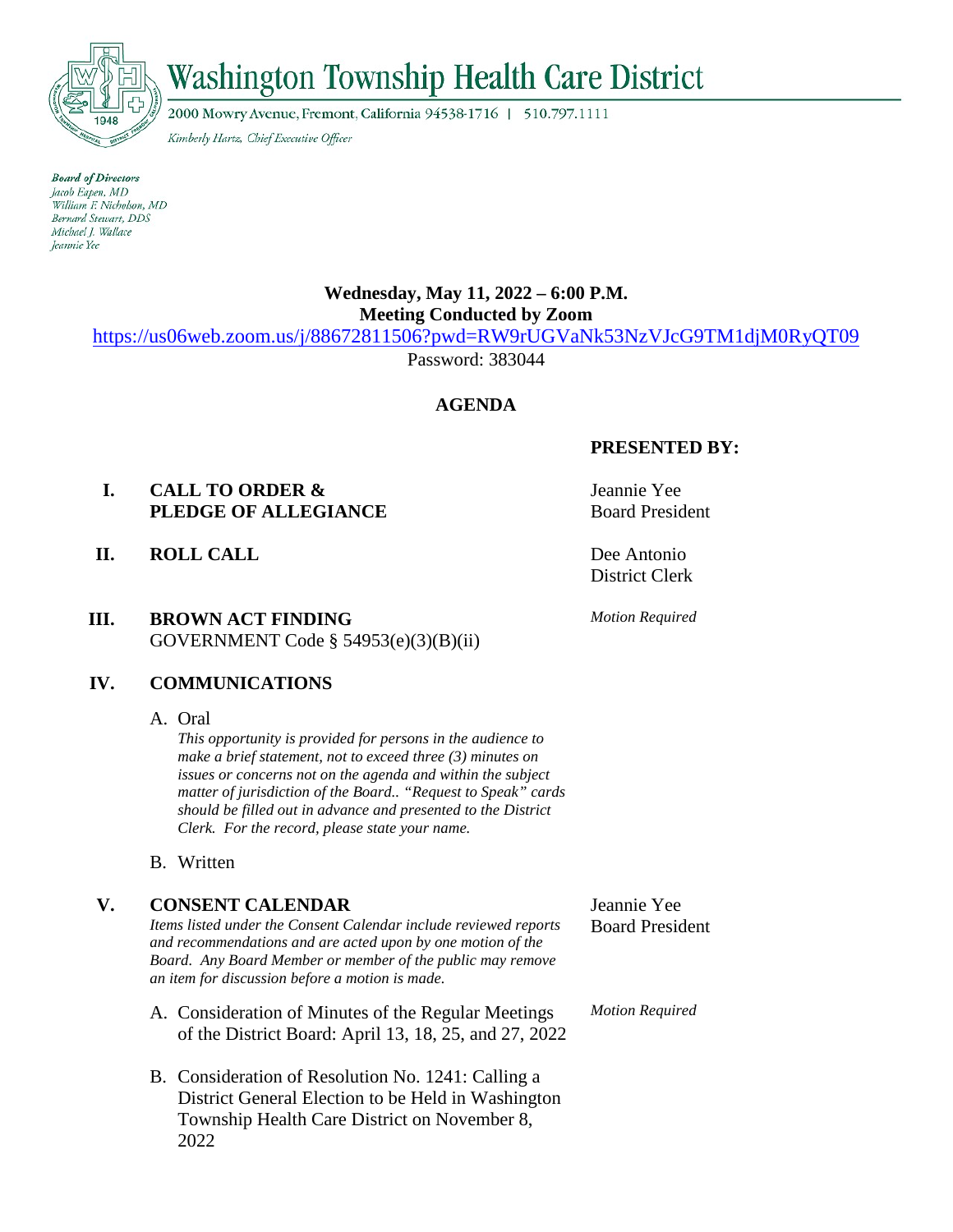

# $\vec{w}$

2000 Mowry Avenue, Fremont, California 94538-1716 | 510.797.1111

Kimberly Hartz, Chief Executive Officer

**Board of Directors** Jacob Eapen, MD William F. Nicholson, MD Bernard Stewart, DDS Michael J. Wallace *Jeannie Yee* 

## **Wednesday, May 11, 2022 – 6:00 P.M. Meeting Conducted by Zoom**

<https://us06web.zoom.us/j/88672811506?pwd=RW9rUGVaNk53NzVJcG9TM1djM0RyQT09>

Password: 383044

## **AGENDA**

## **I. CALL TO ORDER & PLEDGE OF ALLEGIANCE**

**II. ROLL CALL** Dee Antonio

## **III. BROWN ACT FINDING**  GOVERNMENT Code § 54953(e)(3)(B)(ii)

## **IV. COMMUNICATIONS**

A. Oral

*This opportunity is provided for persons in the audience to make a brief statement, not to exceed three (3) minutes on issues or concerns not on the agenda and within the subject matter of jurisdiction of the Board.. "Request to Speak" cards should be filled out in advance and presented to the District Clerk. For the record, please state your name.*

B. Written

## **V. CONSENT CALENDAR**

*Items listed under the Consent Calendar include reviewed reports and recommendations and are acted upon by one motion of the Board. Any Board Member or member of the public may remove an item for discussion before a motion is made.*

- A. Consideration of Minutes of the Regular Meetings of the District Board: April 13, 18, 25, and 27, 2022
- B. Consideration of Resolution No. 1241: Calling a District General Election to be Held in Washington Township Health Care District on November 8, 2022

## **PRESENTED BY:**

Jeannie Yee Board President

District Clerk

*Motion Required*

Jeannie Yee Board President

*Motion Required*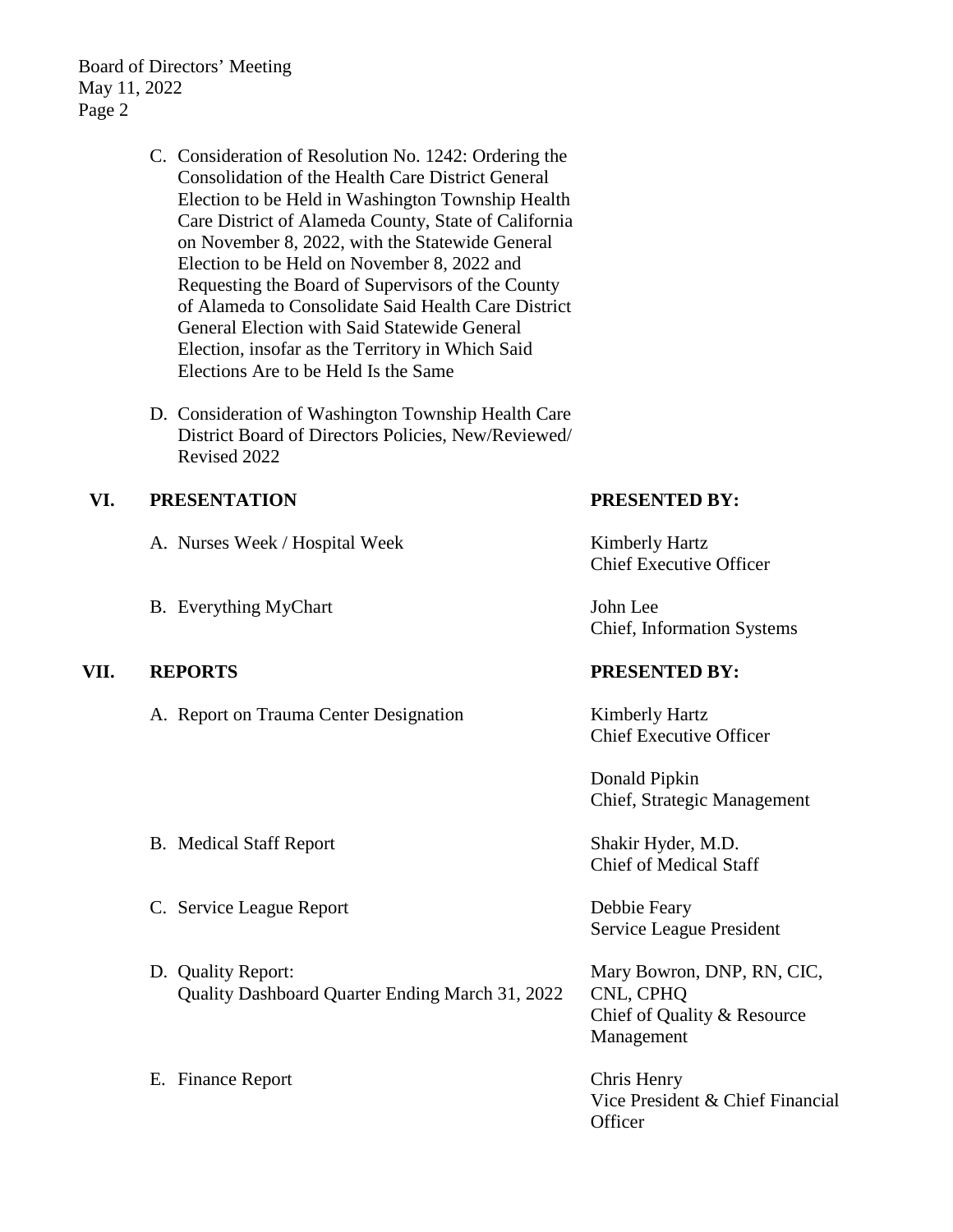Board of Directors' Meeting May 11, 2022 Page 2

- C. Consideration of Resolution No. 1242: Ordering the Consolidation of the Health Care District General Election to be Held in Washington Township Health Care District of Alameda County, State of California on November 8, 2022, with the Statewide General Election to be Held on November 8, 2022 and Requesting the Board of Supervisors of the County of Alameda to Consolidate Said Health Care District General Election with Said Statewide General Election, insofar as the Territory in Which Said Elections Are to be Held Is the Same
- D. Consideration of Washington Township Health Care District Board of Directors Policies, New/Reviewed/ Revised 2022

## **VI. PRESENTATION**

- A. Nurses Week / Hospital Week
- B. Everything MyChart

## **VII. REPORTS PRESENTED BY:**

- A. Report on Trauma Center Designation Kimberly Hartz
- B. Medical Staff Report Shakir Hyder, M.D.
- C. Service League Report Debbie Feary
- D. Quality Report: Quality Dashboard Quarter Ending March 31, 2022
- E. Finance Report Chris Henry

## **PRESENTED BY:**

Kimberly Hartz Chief Executive Officer

John Lee Chief, Information Systems

Chief Executive Officer

Donald Pipkin Chief, Strategic Management

Chief of Medical Staff

Service League President

Mary Bowron, DNP, RN, CIC, CNL, CPHQ Chief of Quality & Resource Management

Vice President & Chief Financial **Officer**